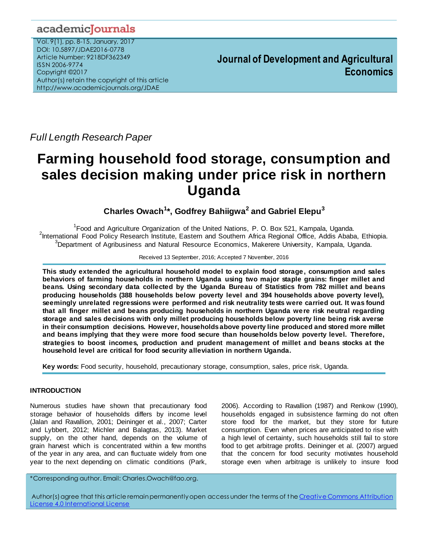# academicJournals

Vol. 9(1), pp. 8-15, January, 2017 DOI: 10.5897/JDAE2016-0778 Article Number: 9218DF362349 ISSN 2006-9774 Copyright ©2017 Author(s) retain the copyright of this article http://www.academicjournals.org/JDAE

**Journal of Development and Agricultural Economics**

*Full Length Research Paper*

# **Farming household food storage, consumption and sales decision making under price risk in northern Uganda**

## **Charles Owach<sup>1</sup> \*, Godfrey Bahiigwa<sup>2</sup> and Gabriel Elepu<sup>3</sup>**

<sup>1</sup> Food and Agriculture Organization of the United Nations, P. O. Box 521, Kampala, Uganda. <sup>2</sup>International Food Policy Research Institute, Eastern and Southern Africa Regional Office, Addis Ababa, Ethiopia. <sup>3</sup>Department of Agribusiness and Natural Resource Economics, Makerere University, Kampala, Uganda.

Received 13 September, 2016; Accepted 7 November, 2016

**This study extended the agricultural household model to explain food storage, consumption and sales behaviors of farming households in northern Uganda using two major staple grains: finger millet and beans. Using secondary data collected by the Uganda Bureau of Statistics from 782 millet and beans producing households (388 households below poverty level and 394 households above poverty level), seemingly unrelated regressions were performed and risk neutrality tests were carried out. It was found that all finger millet and beans producing households in northern Uganda were risk neutral regarding storage and sales decisions with only millet producing households below poverty line being risk averse in their consumption decisions. However, households above poverty line produced and stored more millet and beans implying that they were more food secure than households below poverty level. Therefore, strategies to boost incomes, production and prudent management of millet and beans stocks at the household level are critical for food security alleviation in northern Uganda.**

**Key words:** Food security, household, precautionary storage, consumption, sales, price risk, Uganda.

## **INTRODUCTION**

Numerous studies have shown that precautionary food storage behavior of households differs by income level (Jalan and Ravallion, 2001; Deininger et al., 2007; Carter and Lybbert, 2012; Michler and Balagtas, 2013). Market supply, on the other hand, depends on the volume of grain harvest which is concentrated within a few months of the year in any area, and can fluctuate widely from one year to the next depending on climatic conditions (Park, 2006). According to Ravallion (1987) and Renkow (1990), households engaged in subsistence farming do not often store food for the market, but they store for future consumption. Even when prices are anticipated to rise with a high level of certainty, such households still fail to store food to get arbitrage profits. Deininger et al. (2007) argued that the concern for food security motivates household storage even when arbitrage is unlikely to insure food

\*Corresponding author. Email: Charles.Owach@fao.org.

Author(s) agree that this article remain permanently open access under the terms of the Creative Commons Attribution [License 4.0 International License](../../../../../../../../2014/Feb/AJAR-25.04.13-7282%20%20%20%20mercy/Publication/Creative%20Commons%20Attribution%20License%204.0%20International%20License)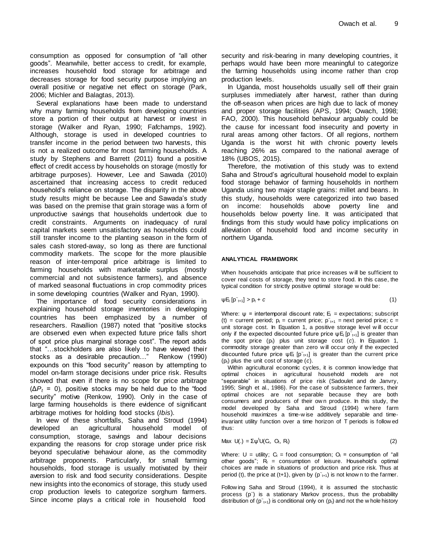consumption as opposed for consumption of "all other goods". Meanwhile, better access to credit, for example, increases household food storage for arbitrage and decreases storage for food security purpose implying an overall positive or negative net effect on storage (Park, 2006; Michler and Balagtas, 2013).

Several explanations have been made to understand why many farming households from developing countries store a portion of their output at harvest or invest in storage (Walker and Ryan, 1990; Fafchamps, 1992). Although, storage is used in developed countries to transfer income in the period between two harvests, this is not a realized outcome for most farming households. A study by Stephens and Barrett (2011) found a positive effect of credit access by households on storage (mostly for arbitrage purposes). However, Lee and Sawada (2010) ascertained that increasing access to credit reduced household's reliance on storage. The disparity in the above study results might be because Lee and Sawada's study was based on the premise that grain storage was a form of unproductive savings that households undertook due to credit constraints. Arguments on inadequacy of rural capital markets seem unsatisfactory as households could still transfer income to the planting season in the form of sales cash stored-away, so long as there are functional commodity markets. The scope for the more plausible reason of inter-temporal price arbitrage is limited to farming households with marketable surplus (mostly commercial and not subsistence farmers), and absence of marked seasonal fluctuations in crop commodity prices in some developing countries (Walker and Ryan, 1990).

The importance of food security considerations in explaining household storage inventories in developing countries has been emphasized by a number of researchers. Ravallion (1987) noted that "positive stocks are observed even when expected future price falls short of spot price plus marginal storage cost". The report adds that "…stockholders are also likely to have viewed their stocks as a desirable precaution…" Renkow (1990) expounds on this "food security" reason by attempting to model on-farm storage decisions under price risk. Results showed that even if there is no scope for price arbitrage  $(\Delta P_t = 0)$ , positive stocks may be held due to the "food" security" motive (Renkow, 1990). Only in the case of large farming households is there evidence of significant arbitrage motives for holding food stocks (*Ibis*).

In view of these shortfalls, Saha and Stroud (1994) developed an agricultural household model of consumption, storage, savings and labour decisions expanding the reasons for crop storage under price risk beyond speculative behaviour alone, as the commodity arbitrage proponents. Particularly, for small farming households, food storage is usually motivated by their aversion to risk and food security considerations. Despite new insights into the economics of storage, this study used crop production levels to categorize sorghum farmers. Since income plays a critical role in household food

security and risk-bearing in many developing countries, it perhaps would have been more meaningful to categorize the farming households using income rather than crop production levels.

In Uganda, most households usually sell off their grain surpluses immediately after harvest, rather than during the off-season when prices are high due to lack of money and proper storage facilities (APS, 1994; Owach, 1998; FAO, 2000). This household behaviour arguably could be the cause for incessant food insecurity and poverty in rural areas among other factors. Of all regions, northern Uganda is the worst hit with chronic poverty levels reaching 26% as compared to the national average of 18% (UBOS, 2015).

Therefore, the motivation of this study was to extend Saha and Stroud's agricultural household model to explain food storage behavior of farming households in northern Uganda using two major staple grains: millet and beans. In this study, households were categorized into two based on income: households above poverty line and households below poverty line. It was anticipated that findings from this study would have policy implications on alleviation of household food and income security in northern Uganda.

#### **ANALYTICAL FRAMEWORK**

When households anticipate that price increases w ill be sufficient to cover real costs of storage, they tend to store food. In this case, the typical condition for strictly positive optimal storage w ould be:

$$
\psi E_t [p\tilde{t}_{t+1}] > p_t + c \tag{1}
$$

Where:  $\psi$  = intertemporal discount rate;  $E_t$  = expectations; subscript (t) = current period;  $p_t$  = current price;  $p_{t+1}$  = next period price; c = unit storage cost. In Equation 1, a positive storage level w ill occur only if the expected discounted future price  $\psi E_t$  [p $\tilde{t}_{t+1}$ ] is greater than the spot price (pt) plus unit storage cost (*c*). In Equation 1, commodity storage greater than zero w ill occur only if the expected discounted future price  $\psi$ E<sub>t</sub> [p  $\tilde{t}_{t+1}$ ] is greater than the current price (pt) plus the unit cost of storage (*c*).

Within agricultural economic cycles, it is common know ledge that optimal choices in agricultural household models are not "separable" in situations of price risk (Sadoulet and de Janvry, 1995; Singh et al., 1986). For the case of subsistence farmers, their optimal choices are not separable because they are both consumers and producers of their ow n produce. In this study, the model developed by Saha and Stroud (1994) w here farm household maximizes a time-w ise additively separable and timeinvariant utility function over a time horizon of T periods is follow ed thus:

$$
\mathsf{Max}\ \mathsf{U}(.)=\Sigma\psi^t\mathsf{U}(C_t,\ O_t,\ R_t)\tag{2}
$$

Where:  $U =$  utility;  $C_t =$  food consumption;  $O_t =$  consumption of "all other goods";  $R_t$  = consumption of leisure. Household's optimal choices are made in situations of production and price risk. Thus at period (t), the price at (t+1), given by  $(p_{t+1})$  is not know n to the farmer.

Follow ing Saha and Stroud (1994), it is assumed the stochastic process (p<sup>-</sup>) is a stationary Markov process, thus the probability distribution of  $(p<sub>t+1</sub>)$  is conditional only on  $(p<sub>t</sub>)$  and not the w hole history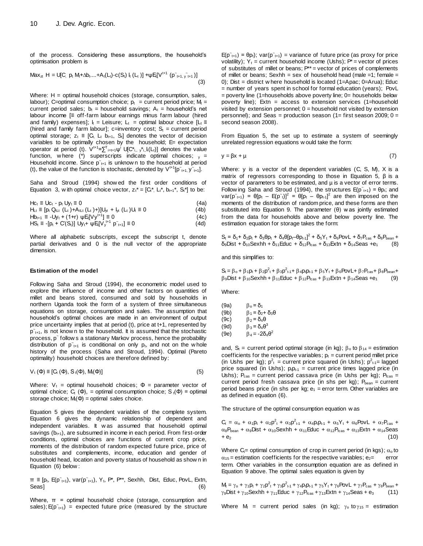of the process. Considering these assumptions, the household's optimisation problem is

$$
Max_{zt} H = U[C, p_t M_t + \Delta b_1 ... + A_t(L_t) - c(S_t) I_t (L_t)] + \psi E[IV^{t+1} (p^*_{t+1}, y^*_{t+1})]
$$
\n(3)

Where: H = optimal household choices (storage, consumption, sales, labour); C=optimal consumption choice;  $p_t$  = current period price;  $M_t$  = current period sales;  $b_t$  = household savings;  $A_t$  = household's net labour income [≡ off-farm labour earnings minus farm labour (hired and family) expenses];  $I_t =$  Leisure;  $L_t =$  optimal labour choice  $[L_t =$ (hired and family farm labour]; c=inventory cost;  $S_t$  = current period optimal storage;  $z_t \equiv [C_t, L_t, b_{t+1}, S_t]$  denotes the vector of decision variables to be optimally chosen by the household; E= expectation operator at period (t).  $V^{t+1} = \sum_{i=t+1}^{T} \psi^{i} \cup [C_{i,j}^{*}, y_{i,j}^{*}]$  denotes the value function, w here (\*) superscripts indicate optimal choices;  $v =$ Household income. Since  $p_{t+1}$  is unknow n to the household at period (t), the value of the function is stochastic, denoted by  $V^{t+1}[p_{t+1}, y_{t+1}].$ 

Saha and Stroud (1994) show ed the first order conditions of Equation 3, w ith optimal choice vector,  $z_t^* = [C_t^*, L_t^*, b_{t+1}^*, S_t^*]$  to be:

| $Hc_t \equiv Uc_t - p_t Uv_t \equiv 0$                                                     | (4a) |
|--------------------------------------------------------------------------------------------|------|
| $H_{Lt} \equiv [p_t Q_{tLt} (L_t) + A_{tLt} (L_t) + d_t] U_{t} + I_{t} (L_t) U_t \equiv 0$ | (4b) |
| $Hb_{t+1} \equiv -Uy_t + (1+r) \psi E_t[Vy^{t+1}] \equiv 0$                                | (4c) |

$$
HS_{t} \equiv -[p_{t} + C(S_{t})] \cup y_{t} + \psi E[V_{y}^{t+1} \mid p_{t+1}] \equiv 0 \tag{4d}
$$

Where all alphabetic subscripts, except the subscript t, denote partial derivatives and 0 is the null vector of the appropriate dimension.

#### **Estimation of the model**

Follow ing Saha and Stroud (1994), the econometric model used to explore the influence of income and other factors on quantities of millet and beans stored, consumed and sold by households in northern Uganda took the form of a system of three simultaneous equations on storage, consumption and sales. The assumption that household's optimal choices are made in an environment of output price uncertainty implies that at period (t), price at t+1, represented by  $p_{t+1}$ , is not know n to the household. It is assumed that the stochastic .<br>process, p~ follow s a stationary Markov process, hence the probability distribution of  $p_{t+1}$  is conditional on only  $p_t$ , and not on the whole history of the process (Saha and Stroud, 1994). Optimal (Pareto optimality) household choices are therefore defined by:

$$
V_{t}(\Phi) \equiv [C_{t}(\Phi), S_{t}(\Phi), M_{t}(\Phi)] \tag{5}
$$

Where:  $V_t$  = optimal household choices;  $\Phi$  = parameter vector of optimal choice; C<sub>t</sub> (Φ), = optimal consumption choice; S<sub>t</sub>(Φ) = optimal storage choice;  $M(\Phi)$  = optimal sales choice.

Equation 5 gives the dependent variables of the complete system. Equation 6 gives the dynamic relationship of dependent and independent variables. It w as assumed that household optimal savings  $(b<sub>t+1</sub>)$ , are subsumed in income in each period. From first-order conditions, optimal choices are functions of current crop price, moments of the distribution of random expected future price, price of substitutes and complements, income, education and gender of household head, location and poverty status of household as show n in Equation (6) below :

 $\pi \equiv [p_t, E(p_{t+1}), \text{var}(p_{t+1}), Y_t, P^*, P^{**}, \text{Sexhh}, \text{Dist}, \text{Educ}, \text{PovL}, \text{Extn},$ Seas] (6)

Where,  $\pi$  = optimal household choice (storage, consumption and sales);  $E(p_{t+1})$  = expected future price (measured by the structure

 $E(p^*_{t+1}) = \theta p_t$ ; var( $p^*_{t+1}$ ) = variance of future price (as proxy for price volatility);  $Y_t$  = current household income (Ushs);  $P^*$  = vector of prices of substitutes of millet or beans;  $P^{**}$  = vector of prices of complements of millet or beans; Sexhh = sex of household head (male =1; female = 0); Dist = district w here household is located  $(1=Apac; 0=Arua)$ ; Educ = number of years spent in school for formal education (years); PovL = poverty line (1=households above poverty line; 0= households below poverty line); Extn = access to extension services  $(1=$ household visited by extension personnel;  $0 =$  household not visited by extension personnel); and Seas = production season  $(1=$  first season 2009;  $0=$ second season 2008).

From Equation 5, the set up to estimate a system of seemingly unrelated regression equations w ould take the form:

$$
y = \beta x + \mu \tag{7}
$$

Where: y is a vector of the dependent variables (C, S, M), X is a matrix of regressors corresponding to those in Equation 5, β is a vector of parameters to be estimated, and µ is a vector of error terms. Follow ing Saha and Stroud (1994), the structures  $E(p^t_{t+1}) = \theta p_t$ ; and  $var(p^*_{t+1}) = \theta[p_t - E(p^*_{t})]^2 = \theta[p_t - \theta p_{t-1}]^2$  are then imposed on the moments of the distribution of random price, and these forms are then substituted into Equation 9. The parameter (θ) w as jointly estimated from the data for households above and below poverty line. The estimation equation for storage takes the form:

 $S_t = \delta_1 + \delta_2 p_t + \delta_3 \theta p_t + \delta_4 \theta [p_t - \theta p_{t-1}]^2 + \delta_5 Y_t + \delta_6 \theta P_t - \delta_7 P_{\text{cas}} + \delta_8 P_{\text{bean}} +$  $\delta_9$ Dist +  $\delta_{10}$ Sexhh +  $\delta_{11}$ Educ +  $\delta_{12}P_{\text{feas}}$  +  $\delta_{13}$ Extn +  $\delta_{14}$ Seas +  $\epsilon_1$  (8)

and this simplifies to:

 $S_t = \beta_0 + \beta_1 p_t + \beta_2 p_t^2 + \beta_3 p_{t-1}^2 + \beta_4 p_t p_{t-1} + \beta_5 Y_t + \beta_6 P_{\text{O}} V_{\text{L}} + \beta_7 P_{\text{cas}} + \beta_8 P_{\text{bean}} +$  $\beta_9$ Dist +  $\beta_{10}$ Sexhh +  $\beta_{11}$ Educ +  $\beta_{12}P_{\text{feas}}$  +  $\beta_{13}$ Extn +  $\beta_{14}$ Seas +e<sub>1</sub> (9)

Where:

| (9a) | $\beta_0 = \delta_1$                      |
|------|-------------------------------------------|
| (9b) | $β_1 = δ_2 + δ_3θ$                        |
| (9c) | $β2 = δ4θ$                                |
| (9d) | $\beta_3$ = δ <sub>4</sub> θ <sup>3</sup> |
| (9e) | $\beta_4 = -2\delta_4\theta^2$            |

and,  $S_t$  = current period optimal storage (in kg);  $\beta_0$  to  $\beta_{14}$  = estimation coefficients for the respective variables;  $p_t$  = current period millet price (in Ushs per kg);  $p_t^2$  = current price squared (in Ushs);  $p_{t-1}^2$  = lagged price squared (in Ushs);  $p_t p_{t-1}$  = current price times lagged price (in Ushs);  $P_{\text{cas}}$  = current period cassava price (in Ushs per kg);  $P_{\text{feas}}$  = current period fresh cassava price (in shs per  $kg$ );  $P_{beam} =$  current period beans price (in shs per kg;  $e_1$  = error term. Other variables are as defined in equation (6).

The structure of the optimal consumption equation w as

 $C_t = \alpha_0 + \alpha_1 p_t + \alpha_2 p_t^2 + \alpha_3 p_{t-1}^2 + \alpha_4 p_t p_{t-1} + \alpha_5 Y_t + \alpha_6 PovL + \alpha_7 P_{cas}$  $\alpha_8$ P<sub>bean</sub> +  $\alpha_9$ Dist +  $\alpha_{10}$ Sexhh +  $\alpha_{11}$ Educ +  $\alpha_{12}$ P<sub>fcas</sub> +  $\alpha_{13}$ Extn +  $\alpha_{14}$ Seas  $+ e_2$  (10)

Where  $C_t$ = optimal consumption of crop in current period (in kgs);  $\alpha_0$  to  $\alpha_{15}$  = estimation coefficients for the respective variables; e<sub>2</sub>= error term. Other variables in the consumption equation are as defined in Equation 9 above. The optimal sales equation is given by

 $M_t = \gamma_0 + \gamma_1 p_t + \gamma_2 p_{t}^2 + \gamma_3 p_{t-1}^2 + \gamma_4 p_t p_{t-1} + \gamma_5 Y_t + \gamma_6 P_{\text{O}} v L + \gamma_7 P_{\text{cas}} + \gamma_8 P_{\text{bean}} +$  $\gamma_9$ Dist +  $\gamma_{10}$ Sexhh +  $\gamma_{11}$ Educ +  $\gamma_{12}P_{fcas}$  +  $\gamma_{13}$ Extn +  $\gamma_{14}$ Seas + e<sub>3</sub> (11)

Where  $M_t$  = current period sales (in kg);  $\gamma_0$  to  $\gamma_{15}$  = estimation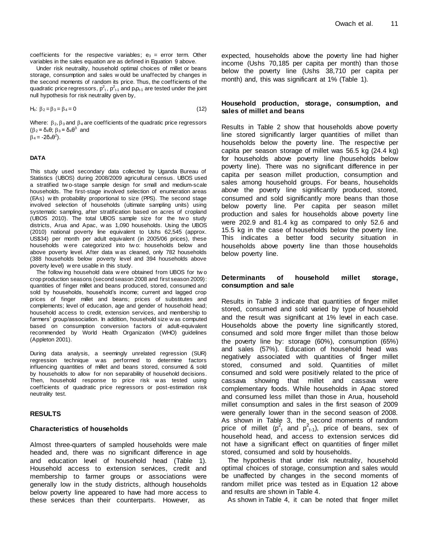coefficients for the respective variables;  $e_3$  = error term. Other variables in the sales equation are as defined in Equation 9 above.

Under risk neutrality, household optimal choices of millet or beans storage, consumption and sales w ould be unaffected by changes in the second moments of random its price. Thus, the coefficients of the quadratic price regressors,  $p^2_t$ ,  $p^2_{t-1}$  and  $p_t p_{t-1}$  are tested under the joint null hypothesis for risk neutrality given by,

$$
H_0: \beta_2 = \beta_3 = \beta_4 = 0 \tag{12}
$$

Where:  $\beta_2$ ,  $\beta_3$  and  $\beta_4$  are coefficients of the quadratic price regressors  $(\beta_2 = \delta_4 \theta; \beta_3 = \delta_4 \theta^3$  and

 $\beta_4$  = -2δ<sub>4</sub>θ<sup>2</sup>).

#### **DATA**

This study used secondary data collected by Uganda Bureau of Statistics (UBOS) during 2008/2009 agricultural census. UBOS used a stratified tw o-stage sample design for small and medium-scale households. The first-stage involved selection of enumeration areas (EAs) w ith probability proportional to size (PPS). The second stage involved selection of households (ultimate sampling units) using systematic sampling, after stratification based on acres of cropland (UBOS 2010). The total UBOS sample size for the two study districts, Arua and Apac, w as 1,090 households. Using the UBOS (2010) national poverty line equivalent to Ushs 62,545 (approx. US\$34) per month per adult equivalent (in 2005/06 prices), these households w ere categorized into tw o: households below and above poverty level. After data w as cleaned, only 782 households (388 households below poverty level and 394 households above poverty level) w ere usable in this study.

The follow ing household data w ere obtained from UBOS for tw o crop production seasons (second season 2008 and first season 2009): quantities of finger millet and beans produced, stored, consumed and sold by households, household's income; current and lagged crop prices of finger millet and beans; prices of substitutes and complements; level of education, age and gender of household head; household access to credit, extension services, and membership to farmers' group/association. In addition, household size w as computed based on consumption conversion factors of adult-equivalent recommended by World Health Organization (WHO) guidelines (Appleton 2001).

During data analysis, a seemingly unrelated regression (SUR) regression technique w as performed to determine factors influencing quantities of millet and beans stored, consumed & sold by households to allow for non separability of household decisions. Then, household response to price risk w as tested using coefficients of quadratic price regressors or post-estimation risk neutrality test.

#### **RESULTS**

#### **Characteristics of households**

Almost three-quarters of sampled households were male headed and, there was no significant difference in age and education level of household head (Table 1). Household access to extension services, credit and membership to farmer groups or associations were generally low in the study districts, although households below poverty line appeared to have had more access to these services than their counterparts. However, as

expected, households above the poverty line had higher income (Ushs 70,185 per capita per month) than those below the poverty line (Ushs 38,710 per capita per month) and, this was significant at 1% (Table 1).

#### **Household production, storage, consumption, and sales of millet and beans**

Results in Table 2 show that households above poverty line stored significantly larger quantities of millet than households below the poverty line. The respective per capita per season storage of millet was 56.5 kg (24.4 kg) for households above poverty line (households below poverty line). There was no significant difference in per capita per season millet production, consumption and sales among household groups. For beans, households above the poverty line significantly produced, stored, consumed and sold significantly more beans than those below poverty line. Per capita per season millet production and sales for households above poverty line were 202.9 and 81.4 kg as compared to only 52.6 and 15.5 kg in the case of households below the poverty line. This indicates a better food security situation in households above poverty line than those households below poverty line.

#### **Determinants of household millet storage, consumption and sale**

Results in Table 3 indicate that quantities of finger millet stored, consumed and sold varied by type of household and the result was significant at 1% level in each case. Households above the poverty line significantly stored, consumed and sold more finger millet than those below the poverty line by: storage (60%), consumption (65%) and sales (57%). Education of household head was negatively associated with quantities of finger millet stored, consumed and sold. Quantities of millet consumed and sold were positively related to the price of cassava showing that millet and cassava were complementary foods. While households in Apac stored and consumed less millet than those in Arua, household millet consumption and sales in the first season of 2009 were generally lower than in the second season of 2008. As shown in Table 3, the second moments of random price of millet  $(p_{t}^{2}$  and  $p_{t-1}^{2}$ ), price of beans, sex of household head, and access to extension services did not have a significant effect on quantities of finger millet stored, consumed and sold by households.

The hypothesis that under risk neutrality, household optimal choices of storage, consumption and sales would be unaffected by changes in the second moments of random millet price was tested as in Equation 12 above and results are shown in Table 4.

As shown in Table 4, it can be noted that finger millet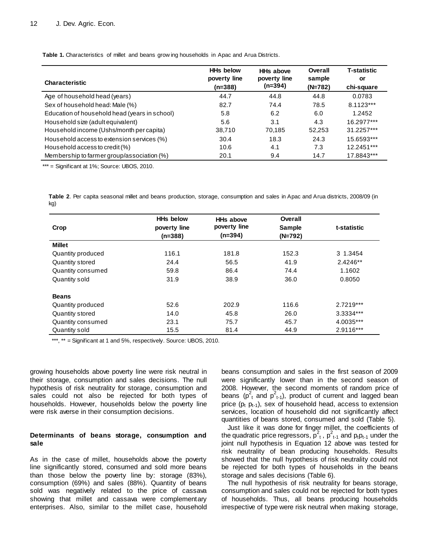**Table 1.** Characteristics of millet and beans grow ing households in Apac and Arua Districts.

|                                               | <b>HHs below</b> | <b>HHs above</b> | Overall   | <b>T-statistic</b> |
|-----------------------------------------------|------------------|------------------|-----------|--------------------|
| <b>Characteristic</b>                         | poverty line     | poverty line     | sample    | or                 |
|                                               | $(n=388)$        | (n=394)          | $(N=782)$ | chi-square         |
| Age of household head (years)                 | 44.7             | 44.8             | 44.8      | 0.0783             |
| Sex of household head: Male (%)               | 82.7             | 74.4             | 78.5      | 8.1123***          |
| Education of household head (years in school) | 5.8              | 6.2              | 6.0       | 1.2452             |
| Household size (adult equivalent)             | 5.6              | 3.1              | 4.3       | 16.2977***         |
| Household income (Ushs/month per capita)      | 38,710           | 70.185           | 52,253    | 31.2257***         |
| Household access to extension services (%)    | 30.4             | 18.3             | 24.3      | 15.6593***         |
| Household access to credit (%)                | 10.6             | 4.1              | 7.3       | 12.2451***         |
| Membership to farmer group/association (%)    | 20.1             | 9.4              | 14.7      | 17.8843***         |

\*\*\* = Significant at 1%; Source: UBOS, 2010.

**Table 2**. Per capita seasonal millet and beans production, storage, consumption and sales in Apac and Arua districts, 2008/09 (in kg)

| Crop              | <b>HHs below</b><br>poverty line | <b>HHs above</b><br>poverty line | Overall<br><b>Sample</b> | t-statistic |
|-------------------|----------------------------------|----------------------------------|--------------------------|-------------|
|                   | $(n=388)$                        | $(n=394)$                        | $(N=792)$                |             |
| <b>Millet</b>     |                                  |                                  |                          |             |
| Quantity produced | 116.1                            | 181.8                            | 152.3                    | 3 1.3454    |
| Quantity stored   | 24.4                             | 56.5                             | 41.9                     | 2.4246**    |
| Quantity consumed | 59.8                             | 86.4                             | 74.4                     | 1.1602      |
| Quantity sold     | 31.9                             | 38.9                             | 36.0                     | 0.8050      |
| <b>Beans</b>      |                                  |                                  |                          |             |
| Quantity produced | 52.6                             | 202.9                            | 116.6                    | $2.7219***$ |
| Quantity stored   | 14.0                             | 45.8                             | 26.0                     | 3.3334***   |
| Quantity consumed | 23.1                             | 75.7                             | 45.7                     | 4.0035***   |
| Quantity sold     | 15.5                             | 81.4                             | 44.9                     | 2.9116***   |

\*\*\*, \*\* = Significant at 1 and 5%, respectively. Source: UBOS, 2010.

growing households above poverty line were risk neutral in their storage, consumption and sales decisions. The null hypothesis of risk neutrality for storage, consumption and sales could not also be rejected for both types of households. However, households below the poverty line were risk averse in their consumption decisions.

#### **Determinants of beans storage, consumption and sale**

As in the case of millet, households above the poverty line significantly stored, consumed and sold more beans than those below the poverty line by: storage (83%), consumption (69%) and sales (88%). Quantity of beans sold was negatively related to the price of cassava showing that millet and cassava were complementary enterprises. Also, similar to the millet case, household beans consumption and sales in the first season of 2009 were significantly lower than in the second season of 2008. However, the second moments of random price of beans ( $p_t^2$  and  $p_{t-1}^2$ ), product of current and lagged bean price ( $p_t$   $p_{t-1}$ ), sex of household head, access to extension services, location of household did not significantly affect quantities of beans stored, consumed and sold (Table 5).

Just like it was done for finger millet, the coefficients of the quadratic price regressors,  $p_1^2$ ,  $p_{t-1}^2$  and  $p_t p_{t-1}$  under the joint null hypothesis in Equation 12 above was tested for risk neutrality of bean producing households. Results showed that the null hypothesis of risk neutrality could not be rejected for both types of households in the beans storage and sales decisions (Table 6).

The null hypothesis of risk neutrality for beans storage, consumption and sales could not be rejected for both types of households. Thus, all beans producing households irrespective of type were risk neutral when making storage,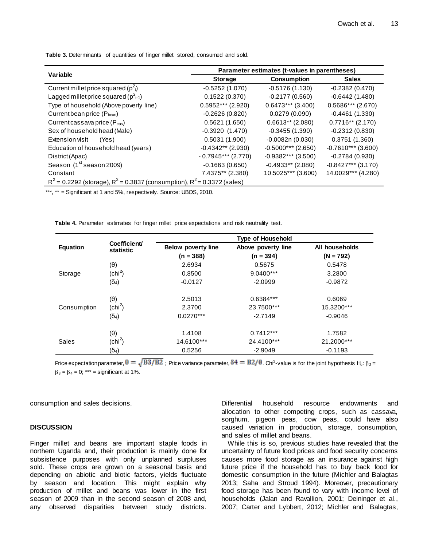|                                                                                | Parameter estimates (t-values in parentheses) |                      |                      |  |
|--------------------------------------------------------------------------------|-----------------------------------------------|----------------------|----------------------|--|
| Variable                                                                       | <b>Storage</b>                                | <b>Consumption</b>   | <b>Sales</b>         |  |
| Current millet price squared ( $p_1^2$ )                                       | $-0.5252(1.070)$                              | $-0.5176(1.130)$     | $-0.2382(0.470)$     |  |
| Lagged millet price squared ( $p^2_{t-1}$ )                                    | 0.1522(0.370)                                 | $-0.2177(0.560)$     | $-0.6442(1.480)$     |  |
| Type of household (Above poverty line)                                         | $0.5952***$ (2.920)                           | $0.6473***$ (3.400)  | $0.5686***$ (2.670)  |  |
| Current bean price (P <sub>bean</sub> )                                        | $-0.2626(0.820)$                              | 0.0279(0.090)        | $-0.4461(1.330)$     |  |
| Current cassava price (P <sub>cas</sub> )                                      | 0.5621(1.650)                                 | $0.6613**$ (2.080)   | $0.7716**$ (2.170)   |  |
| Sex of household head (Male)                                                   | $-0.3920(1.470)$                              | $-0.3455(1.390)$     | $-0.2312(0.830)$     |  |
| Extension visit<br>(Yes)                                                       | 0.5031(1.900)                                 | $-0.0082n(0.030)$    | 0.3751(1.360)        |  |
| Education of household head (years)                                            | $-0.4342**$ (2.930)                           | $-0.5000***$ (2.650) | $-0.7610***$ (3.600) |  |
| District (Apac)                                                                | $-0.7945***$ (2.770)                          | $-0.9382***$ (3.500) | $-0.2784(0.930)$     |  |
| Season (1 <sup>st</sup> season 2009)                                           | $-0.1663(0.650)$                              | $-0.4933**$ (2.080)  | $-0.8427***$ (3.170) |  |
| Constant                                                                       | 7.4375** (2.380)                              | 10.5025*** (3.600)   | 14.0029*** (4.280)   |  |
| $R^2$ = 0.2292 (storage), $R^2$ = 0.3837 (consumption), $R^2$ = 0.3372 (sales) |                                               |                      |                      |  |

**Table 3.** Determinants of quantities of finger millet stored, consumed and sold.

\*\*\*, \*\* = Significant at 1 and 5%, respectively. Source: UBOS, 2010.

**Table 4.** Parameter estimates for finger millet price expectations and risk neutrality test.

|             |                                   | <b>Type of Household</b>  |                           |                      |  |  |  |
|-------------|-----------------------------------|---------------------------|---------------------------|----------------------|--|--|--|
| Equation    | Coefficient/<br>statistic         | <b>Below poverty line</b> | Above poverty line        | All households       |  |  |  |
|             |                                   | $(n = 388)$               | $(n = 394)$               | $(N = 792)$          |  |  |  |
|             | $(\theta)$                        | 2.6934                    | 0.5675                    | 0.5478               |  |  |  |
| Storage     | (chi <sup>2</sup> )               | 0.8500                    | 9.0400***                 | 3.2800               |  |  |  |
|             | $(\delta_4)$                      | $-0.0127$                 | $-2.0999$                 | $-0.9872$            |  |  |  |
| Consumption | $(\theta)$<br>(chi <sup>2</sup> ) | 2.5013<br>2.3700          | $0.6384***$<br>23.7500*** | 0.6069<br>15.3200*** |  |  |  |
|             | $(\delta_4)$                      | $0.0270***$               | $-2.7149$                 | $-0.9046$            |  |  |  |
| Sales       | $(\theta)$<br>(chi <sup>2</sup> ) | 1.4108<br>14.6100***      | $0.7412***$<br>24.4100*** | 1.7582<br>21.2000*** |  |  |  |
|             | $(\overline{O}_4)$                | 0.5256                    | $-2.9049$                 | $-0.1193$            |  |  |  |

Price expectation parameter,  $\theta = \sqrt{B3/B2}$  Price variance parameter,  $\delta4 = B2/\theta$ . Chi<sup>2</sup>-value is for the joint hypothesis H<sub>o</sub>:  $\beta_2 =$  $\beta_3 = \beta_4 = 0$ ; \*\*\* = significant at 1%.

consumption and sales decisions.

#### **DISCUSSION**

Finger millet and beans are important staple foods in northern Uganda and, their production is mainly done for subsistence purposes with only unplanned surpluses sold. These crops are grown on a seasonal basis and depending on abiotic and biotic factors, yields fluctuate by season and location. This might explain why production of millet and beans was lower in the first season of 2009 than in the second season of 2008 and, any observed disparities between study districts.

Differential household resource endowments and allocation to other competing crops, such as cassava, sorghum, pigeon peas, cow peas, could have also caused variation in production, storage, consumption, and sales of millet and beans.

While this is so, previous studies have revealed that the uncertainty of future food prices and food security concerns causes more food storage as an insurance against high future price if the household has to buy back food for domestic consumption in the future (Michler and Balagtas 2013; Saha and Stroud 1994). Moreover, precautionary food storage has been found to vary with income level of households (Jalan and Ravallion, 2001; Deininger et al., 2007; Carter and Lybbert, 2012; Michler and Balagtas,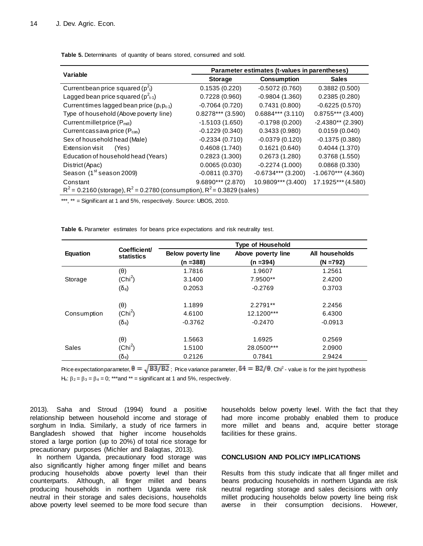| Variable                                                                       | Parameter estimates (t-values in parentheses) |                      |                      |  |
|--------------------------------------------------------------------------------|-----------------------------------------------|----------------------|----------------------|--|
|                                                                                | <b>Storage</b>                                | <b>Consumption</b>   | <b>Sales</b>         |  |
| Current bean price squared ( $p2t$ )                                           | 0.1535(0.220)                                 | $-0.5072(0.760)$     | 0.3882(0.500)        |  |
| Lagged bean price squared ( $p^2_{t-1}$ )                                      | 0.7228(0.960)                                 | $-0.9804(1.360)$     | 0.2385(0.280)        |  |
| Current times lagged bean price $(p_t p_{t-1})$                                | $-0.7064(0.720)$                              | 0.7431(0.800)        | $-0.6225(0.570)$     |  |
| Type of household (Above poverty line)                                         | $0.8278***$ (3.590)                           | $0.6884***$ (3.110)  | $0.8755***$ (3.400)  |  |
| Current millet price $(P_{\text{mill}})$                                       | $-1.5103(1.650)$                              | $-0.1798(0.200)$     | $-2.4380**$ (2.390)  |  |
| Current cassava price (P <sub>cas</sub> )                                      | $-0.1229(0.340)$                              | 0.3433(0.980)        | 0.0159(0.040)        |  |
| Sex of household head (Male)                                                   | $-0.2334(0.710)$                              | $-0.0379(0.120)$     | $-0.1375(0.380)$     |  |
| Extension visit<br>(Yes)                                                       | 0.4608(1.740)                                 | 0.1621(0.640)        | 0.4044(1.370)        |  |
| Education of household head (Years)                                            | 0.2823(1.300)                                 | 0.2673(1.280)        | 0.3768(1.550)        |  |
| District (Apac)                                                                | 0.0065(0.030)                                 | $-0.2274(1.000)$     | 0.0868(0.330)        |  |
| Season (1 <sup>st</sup> season 2009)                                           | $-0.0811(0.370)$                              | $-0.6734***$ (3.200) | $-1.0670***$ (4.360) |  |
| Constant                                                                       | $9.6890***$ (2.870)                           | 10.9809*** (3.400)   | 17.1925*** (4.580)   |  |
| $R^2$ = 0.2160 (storage), $R^2$ = 0.2780 (consumption), $R^2$ = 0.3829 (sales) |                                               |                      |                      |  |
|                                                                                |                                               |                      |                      |  |

**Table 5.** Determinants of quantity of beans stored, consumed and sold.

\*\*\*, \*\* = Significant at 1 and 5%, respectively. Source: UBOS, 2010.

**Table 6.** Parameter estimates for beans price expectations and risk neutrality test.

|              |                                   | <b>Type of Household</b>  |                        |                  |  |
|--------------|-----------------------------------|---------------------------|------------------------|------------------|--|
| Equation     | Coefficient/<br><b>statistics</b> | <b>Below poverty line</b> | Above poverty line     | All households   |  |
|              |                                   | $(n = 388)$               | $(n = 394)$            | $(N = 792)$      |  |
|              | $(\theta)$                        | 1.7816                    | 1.9607                 | 1.2561           |  |
| Storage      | (Chi <sup>2</sup> )               | 3.1400                    | 7.9500**               | 2.4200           |  |
|              | $(\delta_4)$                      | 0.2053                    | $-0.2769$              | 0.3703           |  |
| Consumption  | $(\theta)$<br>(Chi <sup>2</sup> ) | 1.1899<br>4.6100          | 2.2791**<br>12.1200*** | 2.2456<br>6.4300 |  |
|              | $(\delta_4)$                      | $-0.3762$                 | $-0.2470$              | $-0.0913$        |  |
| <b>Sales</b> | $(\theta)$                        | 1.5663                    | 1.6925                 | 0.2569           |  |
|              | (Chi <sup>2</sup> )               | 1.5100                    | 28.0500***             | 2.0900           |  |
|              | $(\delta_4)$                      | 0.2126                    | 0.7841                 | 2.9424           |  |

Price expectation parameter,  $\theta=\sqrt{B3/B2}$  ; Price variance parameter,  $\delta4=B2/\theta$ . Chi<sup>2</sup> - value is for the joint hypothesis H<sub>o</sub>:  $\beta_2 = \beta_3 = \beta_4 = 0$ ; \*\*\*and \*\* = significant at 1 and 5%, respectively.

2013). Saha and Stroud (1994) found a positive relationship between household income and storage of sorghum in India. Similarly, a study of rice farmers in Bangladesh showed that higher income households stored a large portion (up to 20%) of total rice storage for precautionary purposes (Michler and Balagtas, 2013).

In northern Uganda, precautionary food storage was also significantly higher among finger millet and beans producing households above poverty level than their counterparts. Although, all finger millet and beans producing households in northern Uganda were risk neutral in their storage and sales decisions, households above poverty level seemed to be more food secure than

households below poverty level. With the fact that they had more income probably enabled them to produce more millet and beans and, acquire better storage facilities for these grains.

### **CONCLUSION AND POLICY IMPLICATIONS**

Results from this study indicate that all finger millet and beans producing households in northern Uganda are risk neutral regarding storage and sales decisions with only millet producing households below poverty line being risk averse in their consumption decisions. However,